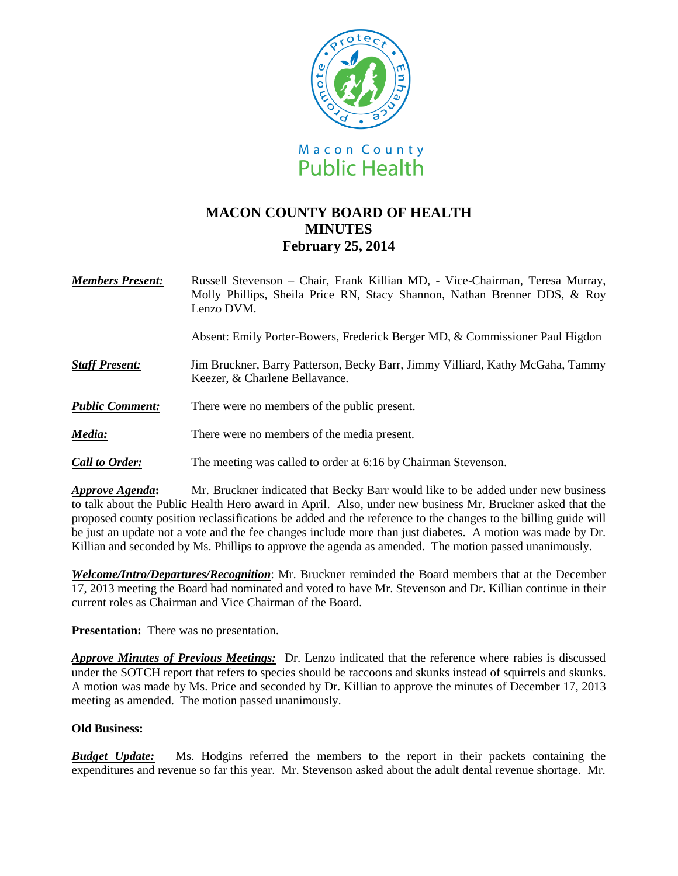

## **MACON COUNTY BOARD OF HEALTH MINUTES February 25, 2014**

*Members Present:* Russell Stevenson – Chair, Frank Killian MD, - Vice-Chairman, Teresa Murray, Molly Phillips, Sheila Price RN, Stacy Shannon, Nathan Brenner DDS, & Roy Lenzo DVM.

Absent: Emily Porter-Bowers, Frederick Berger MD, & Commissioner Paul Higdon

- *Staff Present:*Jim Bruckner, Barry Patterson, Becky Barr, Jimmy Villiard, Kathy McGaha, Tammy Keezer, & Charlene Bellavance.
- *Public Comment:* There were no members of the public present.
- *Media:* There were no members of the media present.
- *Call to Order:* The meeting was called to order at 6:16 by Chairman Stevenson.

*Approve Agenda***:** Mr. Bruckner indicated that Becky Barr would like to be added under new business to talk about the Public Health Hero award in April. Also, under new business Mr. Bruckner asked that the proposed county position reclassifications be added and the reference to the changes to the billing guide will be just an update not a vote and the fee changes include more than just diabetes. A motion was made by Dr. Killian and seconded by Ms. Phillips to approve the agenda as amended. The motion passed unanimously.

*Welcome/Intro/Departures/Recognition*: Mr. Bruckner reminded the Board members that at the December 17, 2013 meeting the Board had nominated and voted to have Mr. Stevenson and Dr. Killian continue in their current roles as Chairman and Vice Chairman of the Board.

**Presentation:** There was no presentation.

*Approve Minutes of Previous Meetings:* Dr. Lenzo indicated that the reference where rabies is discussed under the SOTCH report that refers to species should be raccoons and skunks instead of squirrels and skunks. A motion was made by Ms. Price and seconded by Dr. Killian to approve the minutes of December 17, 2013 meeting as amended. The motion passed unanimously.

## **Old Business:**

*Budget Update:*Ms. Hodgins referred the members to the report in their packets containing the expenditures and revenue so far this year. Mr. Stevenson asked about the adult dental revenue shortage. Mr.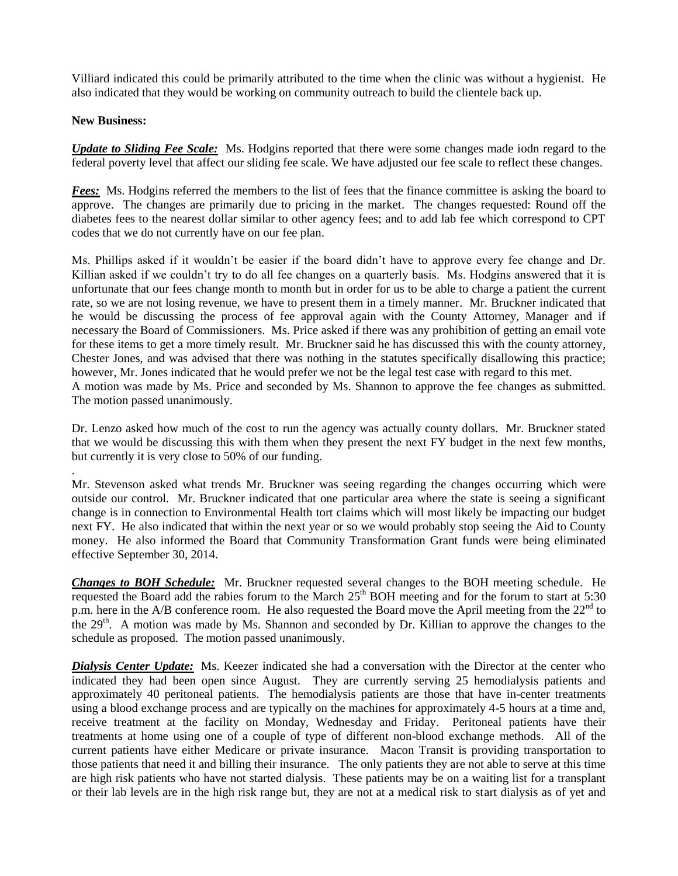Villiard indicated this could be primarily attributed to the time when the clinic was without a hygienist. He also indicated that they would be working on community outreach to build the clientele back up.

## **New Business:**

.

*Update to Sliding Fee Scale:* Ms. Hodgins reported that there were some changes made iodn regard to the federal poverty level that affect our sliding fee scale. We have adjusted our fee scale to reflect these changes.

*Fees:* Ms. Hodgins referred the members to the list of fees that the finance committee is asking the board to approve. The changes are primarily due to pricing in the market. The changes requested: Round off the diabetes fees to the nearest dollar similar to other agency fees; and to add lab fee which correspond to CPT codes that we do not currently have on our fee plan.

Ms. Phillips asked if it wouldn't be easier if the board didn't have to approve every fee change and Dr. Killian asked if we couldn't try to do all fee changes on a quarterly basis. Ms. Hodgins answered that it is unfortunate that our fees change month to month but in order for us to be able to charge a patient the current rate, so we are not losing revenue, we have to present them in a timely manner. Mr. Bruckner indicated that he would be discussing the process of fee approval again with the County Attorney, Manager and if necessary the Board of Commissioners. Ms. Price asked if there was any prohibition of getting an email vote for these items to get a more timely result. Mr. Bruckner said he has discussed this with the county attorney, Chester Jones, and was advised that there was nothing in the statutes specifically disallowing this practice; however, Mr. Jones indicated that he would prefer we not be the legal test case with regard to this met. A motion was made by Ms. Price and seconded by Ms. Shannon to approve the fee changes as submitted. The motion passed unanimously.

Dr. Lenzo asked how much of the cost to run the agency was actually county dollars. Mr. Bruckner stated that we would be discussing this with them when they present the next FY budget in the next few months, but currently it is very close to 50% of our funding.

Mr. Stevenson asked what trends Mr. Bruckner was seeing regarding the changes occurring which were outside our control. Mr. Bruckner indicated that one particular area where the state is seeing a significant change is in connection to Environmental Health tort claims which will most likely be impacting our budget next FY. He also indicated that within the next year or so we would probably stop seeing the Aid to County money. He also informed the Board that Community Transformation Grant funds were being eliminated effective September 30, 2014.

*Changes to BOH Schedule:* Mr. Bruckner requested several changes to the BOH meeting schedule. He requested the Board add the rabies forum to the March  $25<sup>th</sup>$  BOH meeting and for the forum to start at 5:30 p.m. here in the A/B conference room. He also requested the Board move the April meeting from the  $22<sup>nd</sup>$  to the 29<sup>th</sup>. A motion was made by Ms. Shannon and seconded by Dr. Killian to approve the changes to the schedule as proposed. The motion passed unanimously.

*Dialysis Center Update:* Ms. Keezer indicated she had a conversation with the Director at the center who indicated they had been open since August. They are currently serving 25 hemodialysis patients and approximately 40 peritoneal patients. The hemodialysis patients are those that have in-center treatments using a blood exchange process and are typically on the machines for approximately 4-5 hours at a time and, receive treatment at the facility on Monday, Wednesday and Friday. Peritoneal patients have their treatments at home using one of a couple of type of different non-blood exchange methods. All of the current patients have either Medicare or private insurance. Macon Transit is providing transportation to those patients that need it and billing their insurance. The only patients they are not able to serve at this time are high risk patients who have not started dialysis. These patients may be on a waiting list for a transplant or their lab levels are in the high risk range but, they are not at a medical risk to start dialysis as of yet and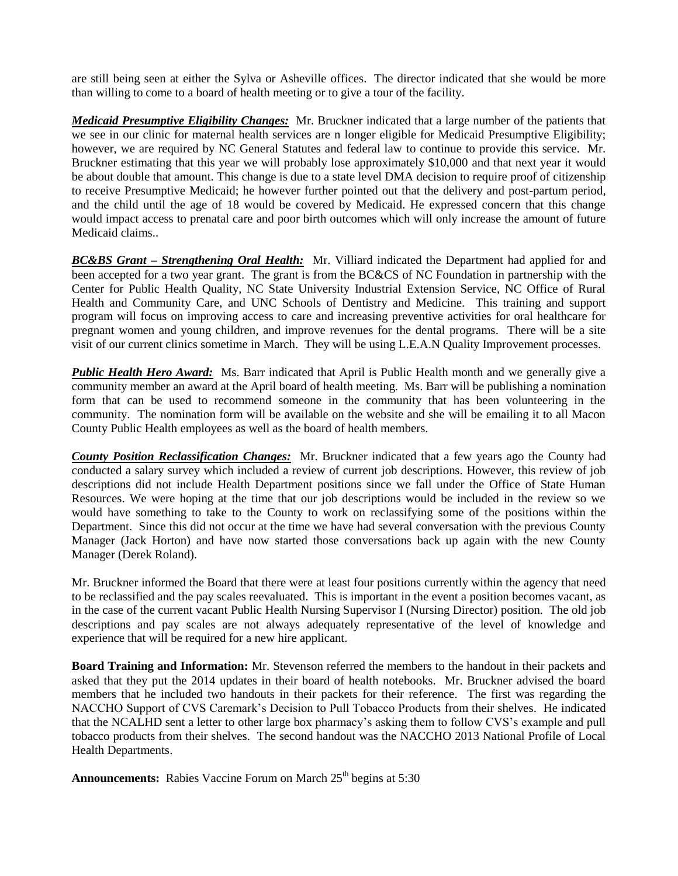are still being seen at either the Sylva or Asheville offices. The director indicated that she would be more than willing to come to a board of health meeting or to give a tour of the facility.

*Medicaid Presumptive Eligibility Changes:*Mr. Bruckner indicated that a large number of the patients that we see in our clinic for maternal health services are n longer eligible for Medicaid Presumptive Eligibility; however, we are required by NC General Statutes and federal law to continue to provide this service. Mr. Bruckner estimating that this year we will probably lose approximately \$10,000 and that next year it would be about double that amount. This change is due to a state level DMA decision to require proof of citizenship to receive Presumptive Medicaid; he however further pointed out that the delivery and post-partum period, and the child until the age of 18 would be covered by Medicaid. He expressed concern that this change would impact access to prenatal care and poor birth outcomes which will only increase the amount of future Medicaid claims..

*BC&BS Grant – Strengthening Oral Health:* Mr. Villiard indicated the Department had applied for and been accepted for a two year grant. The grant is from the BC&CS of NC Foundation in partnership with the Center for Public Health Quality, NC State University Industrial Extension Service, NC Office of Rural Health and Community Care, and UNC Schools of Dentistry and Medicine. This training and support program will focus on improving access to care and increasing preventive activities for oral healthcare for pregnant women and young children, and improve revenues for the dental programs. There will be a site visit of our current clinics sometime in March. They will be using L.E.A.N Quality Improvement processes.

*Public Health Hero Award:*Ms. Barr indicated that April is Public Health month and we generally give a community member an award at the April board of health meeting. Ms. Barr will be publishing a nomination form that can be used to recommend someone in the community that has been volunteering in the community. The nomination form will be available on the website and she will be emailing it to all Macon County Public Health employees as well as the board of health members.

*County Position Reclassification Changes:* Mr. Bruckner indicated that a few years ago the County had conducted a salary survey which included a review of current job descriptions. However, this review of job descriptions did not include Health Department positions since we fall under the Office of State Human Resources. We were hoping at the time that our job descriptions would be included in the review so we would have something to take to the County to work on reclassifying some of the positions within the Department. Since this did not occur at the time we have had several conversation with the previous County Manager (Jack Horton) and have now started those conversations back up again with the new County Manager (Derek Roland).

Mr. Bruckner informed the Board that there were at least four positions currently within the agency that need to be reclassified and the pay scales reevaluated. This is important in the event a position becomes vacant, as in the case of the current vacant Public Health Nursing Supervisor I (Nursing Director) position. The old job descriptions and pay scales are not always adequately representative of the level of knowledge and experience that will be required for a new hire applicant.

**Board Training and Information:** Mr. Stevenson referred the members to the handout in their packets and asked that they put the 2014 updates in their board of health notebooks. Mr. Bruckner advised the board members that he included two handouts in their packets for their reference. The first was regarding the NACCHO Support of CVS Caremark's Decision to Pull Tobacco Products from their shelves. He indicated that the NCALHD sent a letter to other large box pharmacy's asking them to follow CVS's example and pull tobacco products from their shelves. The second handout was the NACCHO 2013 National Profile of Local Health Departments.

Announcements: Rabies Vaccine Forum on March 25<sup>th</sup> begins at 5:30